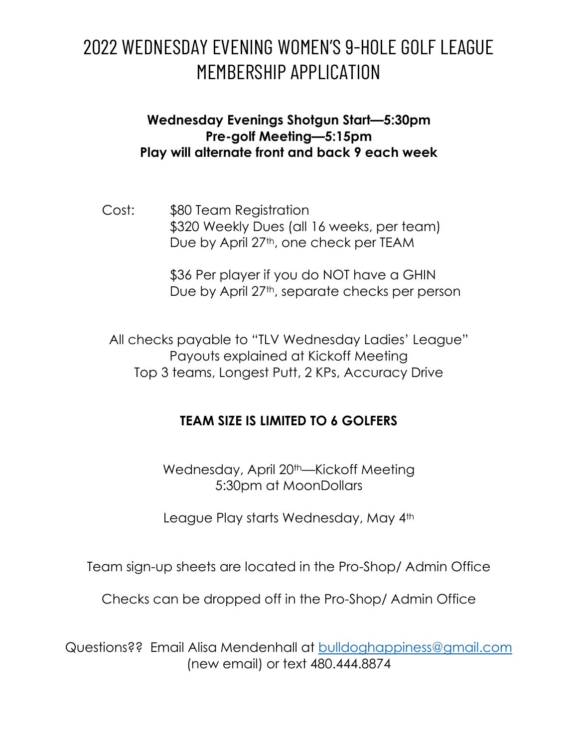## 2022 WEDNESDAY EVENING WOMEN'S 9-HOLE GOLF LEAGUE MEMBERSHIP APPLICATION

## **Wednesday Evenings Shotgun Start—5:30pm Pre-golf Meeting—5:15pm Play will alternate front and back 9 each week**

Cost: \$80 Team Registration \$320 Weekly Dues (all 16 weeks, per team) Due by April 27<sup>th</sup>, one check per TEAM

> \$36 Per player if you do NOT have a GHIN Due by April 27<sup>th</sup>, separate checks per person

All checks payable to "TLV Wednesday Ladies' League" Payouts explained at Kickoff Meeting Top 3 teams, Longest Putt, 2 KPs, Accuracy Drive

## **TEAM SIZE IS LIMITED TO 6 GOLFERS**

Wednesday, April 20<sup>th</sup>—Kickoff Meeting 5:30pm at MoonDollars

League Play starts Wednesday, May 4th

Team sign-up sheets are located in the Pro-Shop/ Admin Office

Checks can be dropped off in the Pro-Shop/ Admin Office

Questions?? Email Alisa Mendenhall at [bulldoghappiness@gmail.com](mailto:bulldoghappiness@gmail.com) (new email) or text 480.444.8874